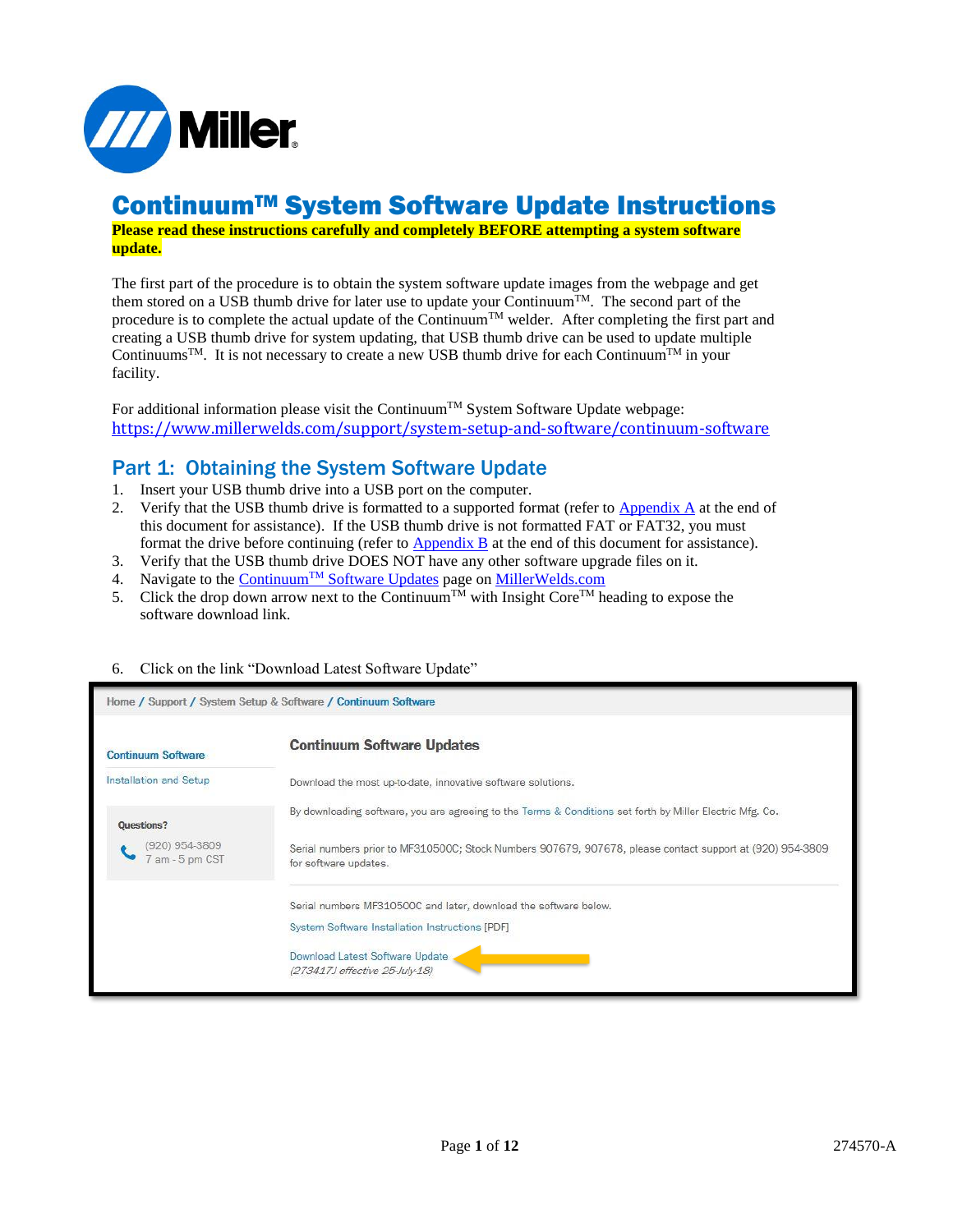

# ContinuumTM System Software Update Instructions

**Please read these instructions carefully and completely BEFORE attempting a system software update.**

The first part of the procedure is to obtain the system software update images from the webpage and get them stored on a USB thumb drive for later use to update your Continuum<sup>TM</sup>. The second part of the procedure is to complete the actual update of the Continuum<sup>TM</sup> welder. After completing the first part and creating a USB thumb drive for system updating, that USB thumb drive can be used to update multiple Continuums<sup>TM</sup>. It is not necessary to create a new USB thumb drive for each Continuum<sup>TM</sup> in your facility.

For additional information please visit the Continuum™ System Software Update webpage: <https://www.millerwelds.com/support/system-setup-and-software/continuum-software>

### Part 1: Obtaining the System Software Update

- 1. Insert your USB thumb drive into a USB port on the computer.
- 2. Verify that the USB thumb drive is formatted to a supported format (refer to  $\Delta$ ppendix  $\Delta$  at the end of this document for assistance). If the USB thumb drive is not formatted FAT or FAT32, you must format the drive before continuing (refer to [Appendix B](#page-10-0) at the end of this document for assistance).
- 3. Verify that the USB thumb drive DOES NOT have any other software upgrade files on it.
- 4. Navigate to the Continuum<sup>™</sup> [Software Updates](http://www.millerwelds.com/continuumsoftware) page o[n MillerWelds.com](http://www.millerwelds.com/)
- 5. Click the drop down arrow next to the Continuum<sup>TM</sup> with Insight Core<sup>TM</sup> heading to expose the software download link.

|                                                        | Home / Support / System Setup & Software / Continuum Software                                                                                                                                                                                   |
|--------------------------------------------------------|-------------------------------------------------------------------------------------------------------------------------------------------------------------------------------------------------------------------------------------------------|
| <b>Continuum Software</b>                              | <b>Continuum Software Updates</b>                                                                                                                                                                                                               |
| Installation and Setup                                 | Download the most up-to-date, innovative software solutions.                                                                                                                                                                                    |
| <b>Questions?</b><br>(920) 954-3809<br>7 am - 5 pm CST | By downloading software, you are agreeing to the Terms & Conditions set forth by Miller Electric Mfg. Co.<br>Serial numbers prior to MF310500C; Stock Numbers 907679, 907678, please contact support at (920) 954-3809<br>for software updates. |
|                                                        | Serial numbers MF310500C and later, download the software below.<br>System Software Installation Instructions [PDF]<br>Download Latest Software Update<br>(273417J effective 25-July-18)                                                        |

#### 6. Click on the link "Download Latest Software Update"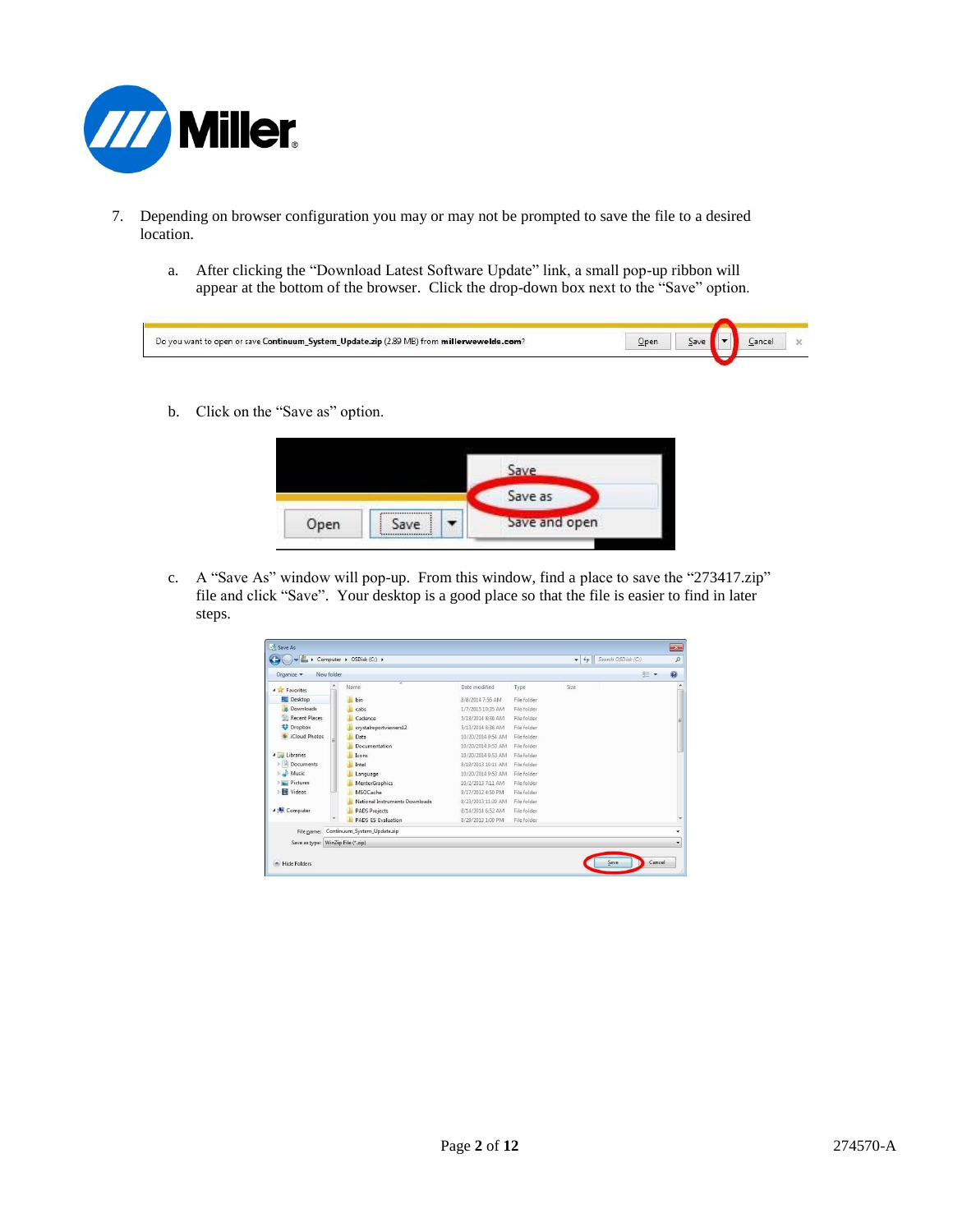

- 7. Depending on browser configuration you may or may not be prompted to save the file to a desired location.
	- a. After clicking the "Download Latest Software Update" link, a small pop-up ribbon will appear at the bottom of the browser. Click the drop-down box next to the "Save" option.

| Do you want to open or save Continuum_System_Update.zip (2.89 MB) from millerwewelds.com? | Onen |  |  |
|-------------------------------------------------------------------------------------------|------|--|--|
|                                                                                           |      |  |  |

b. Click on the "Save as" option.

|      |      | <b>Save</b>   |
|------|------|---------------|
|      |      | Save as       |
| Open | Save | Save and open |

c. A "Save As" window will pop-up. From this window, find a place to save the "273417.zip" file and click "Save". Your desktop is a good place so that the file is easier to find in later steps.

| Organize -<br>New folder              |                                        |                    |             |      | $\Omega$<br>胆 - |
|---------------------------------------|----------------------------------------|--------------------|-------------|------|-----------------|
| <b>4</b> Favorites                    | ×<br>Name                              | Date modified      | Type        | Size |                 |
| Desktop                               | D<br>bin                               | 8/8/2014 7:56 AM   | File folder |      |                 |
| ы<br>Downloads                        | cabs                                   | 1/7/2015 10:35 AM  | File folder |      |                 |
| Recent Places                         | Cadence                                | 5/13/2014 8:36 AM  | File folder |      |                 |
| Dropbox                               | crystalreportviewers12                 | 5/13/2014 8:36 AM  | File folder |      |                 |
| <b>M</b> iCloud Photos                | Œ<br>Data                              | 10/20/2014 9:54 AM | File folder |      |                 |
|                                       | Ξ<br>Documentation                     | 10/20/2014 9:53 AM | File folder |      |                 |
| 4 Libraries                           | <b>Icons</b>                           | 10/20/2014 9:53 AM | File folder |      |                 |
| $\triangleright$ $\Box$ Documents     | Intel                                  | 8/19/2013 10:11 AM | File folder |      |                 |
| $\triangleright$ $\blacksquare$ Music | Language                               | 10/20/2014 9:53 AM | File folder |      |                 |
| Pictures                              | <b>MentorGraphics</b>                  | 10/2/2013 7:11 AM  | File folder |      |                 |
| <b>N</b> Videos                       | <b>MSOCache</b>                        | 8/17/2012 4:50 PM  | File folder |      |                 |
|                                       | National Instruments Downloads         | 8/23/2013 11:20 AM | File folder |      |                 |
| 4 <sup>1</sup> Computer               | <b>PADS Projects</b>                   | 8/14/2014 6:52 AM  | File folder |      |                 |
|                                       | <b>PADS ES Evaluation</b>              | 8/29/2013 1:00 PM  | File folder |      |                 |
|                                       | File name: Continuum_System_Update.zip |                    |             |      |                 |
| Save as type: WinZip File (*.zip)     |                                        |                    |             |      |                 |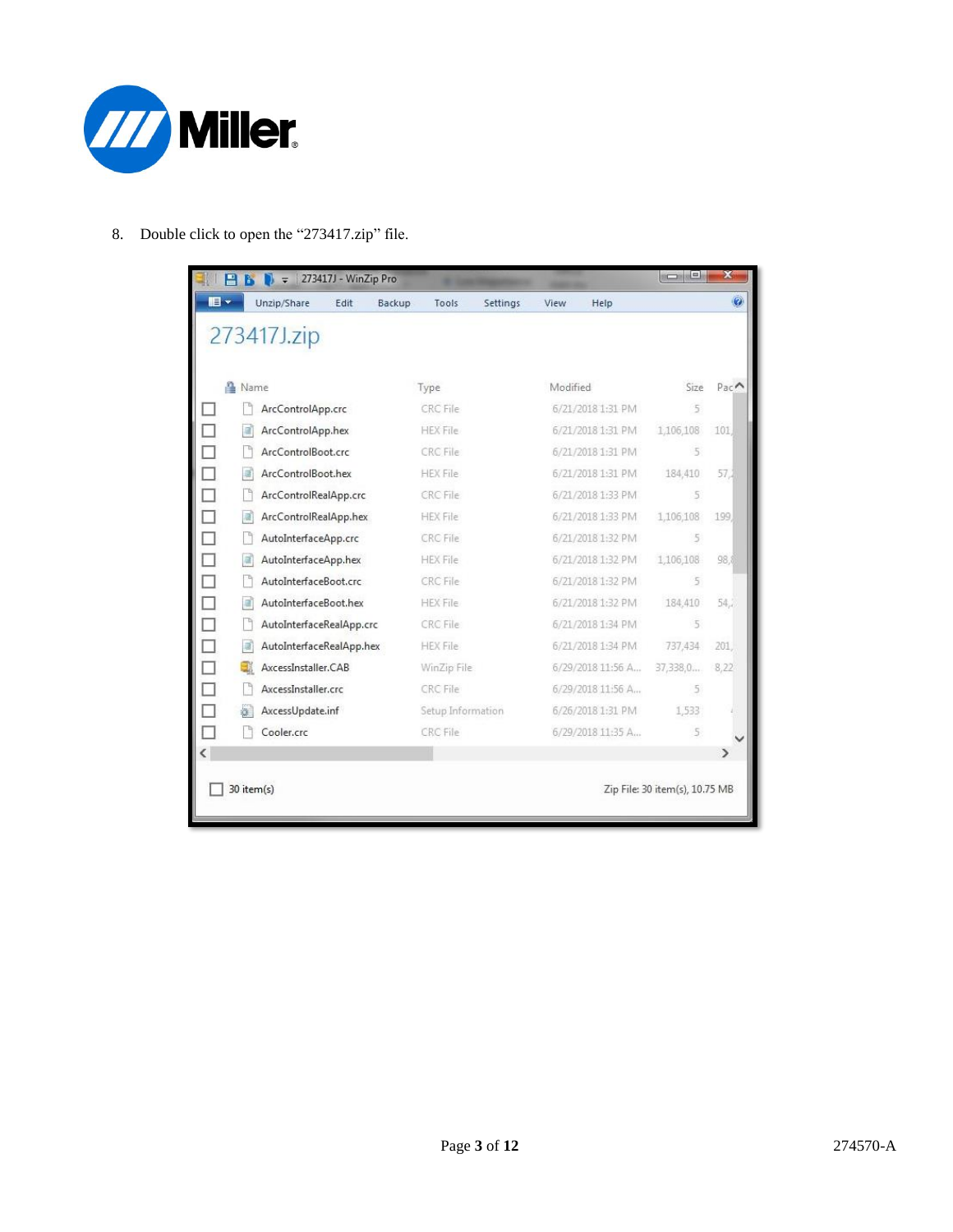

8. Double click to open the "273417.zip" file.

| в<br>e e                 | $\rightarrow$ $\rightarrow$ 273417J - WinZip Pro<br>Unzip/Share<br>Edit | Backup<br>Tools<br>Settings | View<br>Help      | <b>100 00</b>                  | $\mathbf x$<br>$\odot$ |
|--------------------------|-------------------------------------------------------------------------|-----------------------------|-------------------|--------------------------------|------------------------|
|                          |                                                                         |                             |                   |                                |                        |
|                          | 273417J.zip                                                             |                             |                   |                                |                        |
|                          | Name                                                                    | Type                        | Modified          | Size                           | Pac                    |
|                          | ArcControlApp.crc                                                       | CRC File                    | 6/21/2018 1:31 PM | 5                              |                        |
|                          | ArcControlApp.hex<br>a                                                  | <b>HEX File</b>             | 6/21/2018 1:31 PM | 1,106,108                      | 101                    |
|                          | ArcControlBoot.crc                                                      | CRC File                    | 6/21/2018 1:31 PM | 5                              |                        |
|                          | ArcControlBoot.hex<br>lai                                               | <b>HEX File</b>             | 6/21/2018 1:31 PM | 184,410                        | 57.                    |
|                          | ArcControlRealApp.crc                                                   | CRC File                    | 6/21/2018 1:33 PM | 5.                             |                        |
|                          | 漍<br>ArcControlRealApp.hex                                              | <b>HEX File</b>             | 6/21/2018 1:33 PM | 1,106,108                      | 199                    |
|                          | AutoInterfaceApp.crc                                                    | CRC File                    | 6/21/2018 1:32 PM | 5                              |                        |
|                          | AutoInterfaceApp.hex<br>ΙũΪ                                             | <b>HEX File</b>             | 6/21/2018 1:32 PM | 1,106,108                      | 98.                    |
|                          | AutoInterfaceBoot.crc                                                   | CRC File                    | 6/21/2018 1:32 PM | 5.                             |                        |
|                          | AutoInterfaceBoot.hex<br>Ιaί                                            | <b>HEX File</b>             | 6/21/2018 1:32 PM | 184,410                        | 54.3                   |
|                          | AutoInterfaceRealApp.crc                                                | CRC File:                   | 6/21/2018 1:34 PM | 5                              |                        |
| , 000000000              | AutoInterfaceRealApp.hex<br>Ιä                                          | HEX File                    | 6/21/2018 1:34 PM | 737,434                        | 201                    |
|                          | AxcessInstaller.CAB                                                     | WinZip File                 | 6/29/2018 11:56 A | 37,338,0                       | 8,22                   |
|                          | AxcessInstaller.crc                                                     | CRC File                    | 6/29/2018 11:56 A | 5                              |                        |
|                          | AxcessUpdate.inf                                                        | Setup Information           | 6/26/2018 1:31 PM | 1,533                          |                        |
|                          | Cooler.crc                                                              | CRC File                    | 6/29/2018 11:35 A | 5                              |                        |
| $\overline{\phantom{a}}$ |                                                                         |                             |                   |                                |                        |
|                          |                                                                         |                             |                   |                                |                        |
|                          | 30 item(s)                                                              |                             |                   | Zip File: 30 item(s), 10.75 MB |                        |
|                          |                                                                         |                             |                   |                                |                        |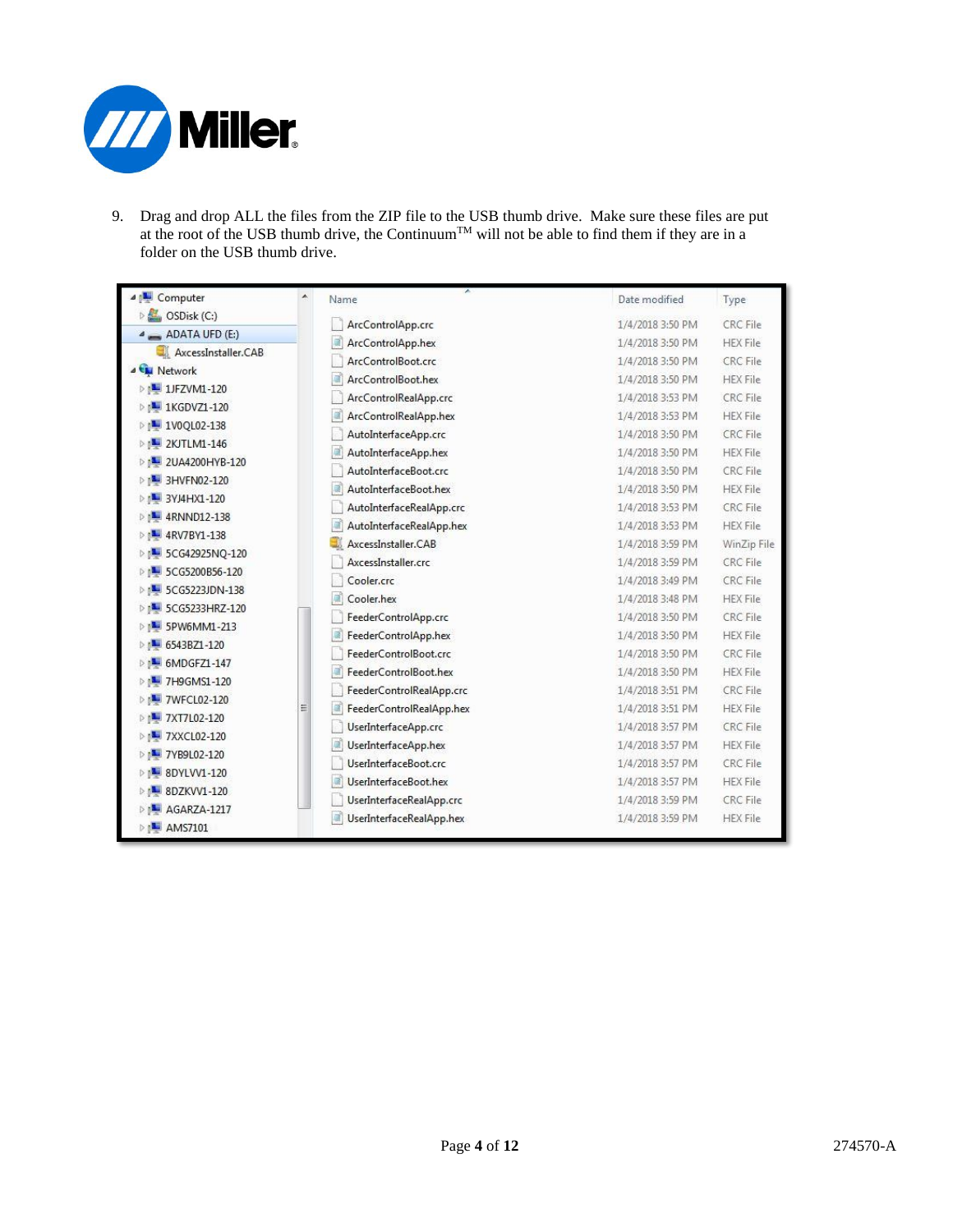

9. Drag and drop ALL the files from the ZIP file to the USB thumb drive. Make sure these files are put at the root of the USB thumb drive, the Continuum<sup>TM</sup> will not be able to find them if they are in a folder on the USB thumb drive.

| <b>4 Computer</b><br>OSDisk (C:)                  | A. | Name                          | Date modified    | Type            |
|---------------------------------------------------|----|-------------------------------|------------------|-----------------|
|                                                   |    | ArcControlApp.crc             | 1/4/2018 3:50 PM | CRC File        |
| $\triangle$ ADATA UFD (E:)<br>AxcessInstaller.CAB |    | ArcControlApp.hex             | 1/4/2018 3:50 PM | <b>HFX File</b> |
|                                                   |    | ArcControlBoot.crc            | 1/4/2018 3:50 PM | CRC File        |
| <b>A CM</b> Network<br><b>MIL 1JFZVM1-120</b>     |    | ArcControlBoot.hex            | 1/4/2018 3:50 PM | <b>HEX File</b> |
|                                                   |    | ArcControlRealApp.crc         | 1/4/2018 3:53 PM | <b>CRC</b> File |
| <b>E 1KGDVZ1-120</b>                              |    | ArcControlRealApp.hex         | 1/4/2018 3:53 PM | <b>HEX File</b> |
| D   1V0QL02-138                                   |    | AutoInterfaceApp.crc          | 1/4/2018 3:50 PM | CRC File        |
| <b>DIE 2KJTLM1-146</b>                            |    | AutoInterfaceApp.hex          | 1/4/2018 3:50 PM | <b>HEX File</b> |
| <b>DIE 2UA4200HYB-120</b>                         |    | AutoInterfaceBoot.crc         | 1/4/2018 3:50 PM | CRC File        |
| <b>DIE 3HVFN02-120</b>                            |    | AutoInterfaceBoot.hex<br>諨    | 1/4/2018 3:50 PM | <b>HEX File</b> |
| <b>ME 3YJ4HX1-120</b>                             |    | AutoInterfaceRealApp.crc      | 1/4/2018 3:53 PM | <b>CRC File</b> |
| <b>D</b> 14RNND12-138                             |    | AutoInterfaceRealApp.hex      | 1/4/2018 3:53 PM | <b>HEX File</b> |
| <b>ME 4RV7BY1-138</b>                             |    | AxcessInstaller.CAB           | 1/4/2018 3:59 PM | WinZip File     |
| D 3CG42925NQ-120                                  |    | AxcessInstaller.crc           | 1/4/2018 3:59 PM | CRC File        |
| D 14 5CG5200B56-120                               |    | Cooler.crc                    | 1/4/2018 3:49 PM | CRC File        |
| <b>ME 5CG5223JDN-138</b>                          |    | a<br>Cooler.hex               | 1/4/2018 3:48 PM | <b>HEX File</b> |
| <b>DIM 5CG5233HRZ-120</b>                         |    | FeederControlApp.crc          | 1/4/2018 3:50 PM | <b>CRC</b> File |
| <b>Die 5PW6MM1-213</b>                            |    | FeederControlApp.hex          | 1/4/2018 3:50 PM | <b>HEX File</b> |
| $\triangleright$ $\blacksquare$ 6543BZ1-120       |    | FeederControlBoot.crc         | 1/4/2018 3:50 PM | <b>CRC File</b> |
| <b>D</b> 147                                      |    | FeederControlBoot.hex         | 1/4/2018 3:50 PM | <b>HFX File</b> |
| <b>ME 7H9GMS1-120</b>                             |    | FeederControlRealApp.crc      | 1/4/2018 3:51 PM | CRC File        |
| <b>DIME 7WFCL02-120</b>                           | Ξ  | FeederControlRealApp.hex      | 1/4/2018 3:51 PM | <b>HEX File</b> |
| <b>DILL 7XT7L02-120</b>                           |    | UserInterfaceApp.crc          | 1/4/2018 3:57 PM | <b>CRC File</b> |
| <b>E 7XXCL02-120</b>                              |    | UserInterfaceApp.hex          | 1/4/2018 3:57 PM | <b>HEX File</b> |
| <b>DIE 7YB9L02-120</b>                            |    | UserInterfaceBoot.crc         | 1/4/2018 3:57 PM | CRC File        |
| <b>DIE 8DYLVV1-120</b>                            |    | UserInterfaceBoot.hex         | 1/4/2018 3:57 PM | <b>HEX File</b> |
| <b>ME 8DZKVV1-120</b>                             |    | UserInterfaceRealApp.crc      | 1/4/2018 3:59 PM | <b>CRC File</b> |
| AGARZA-1217                                       |    | 道<br>UserInterfaceRealApp.hex | 1/4/2018 3:59 PM | <b>HEX File</b> |
| <b>ME AMS7101</b>                                 |    |                               |                  |                 |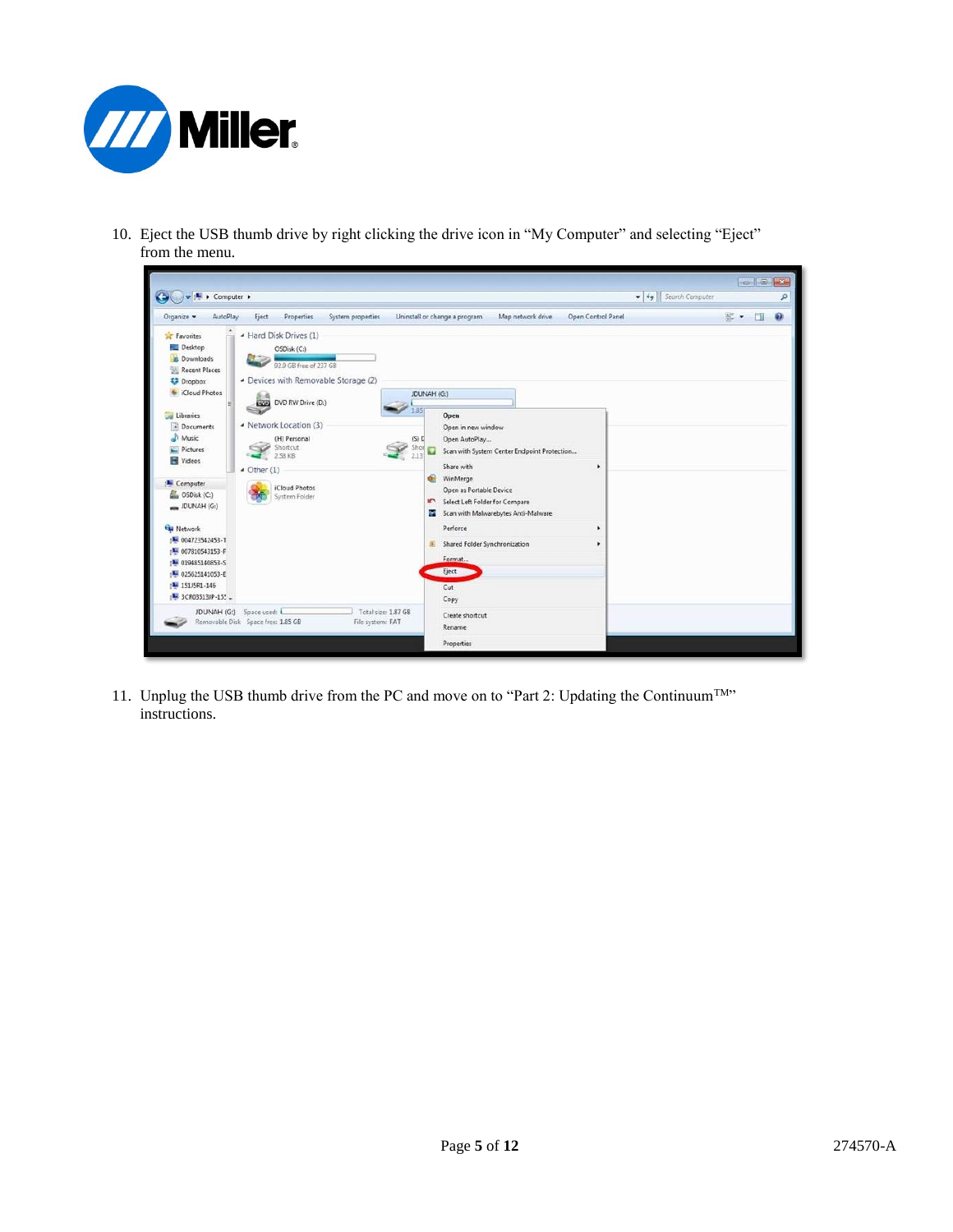

10. Eject the USB thumb drive by right clicking the drive icon in "My Computer" and selecting "Eject" from the menu.



11. Unplug the USB thumb drive from the PC and move on to "Part 2: Updating the Continuum<sup>TM</sup>" instructions.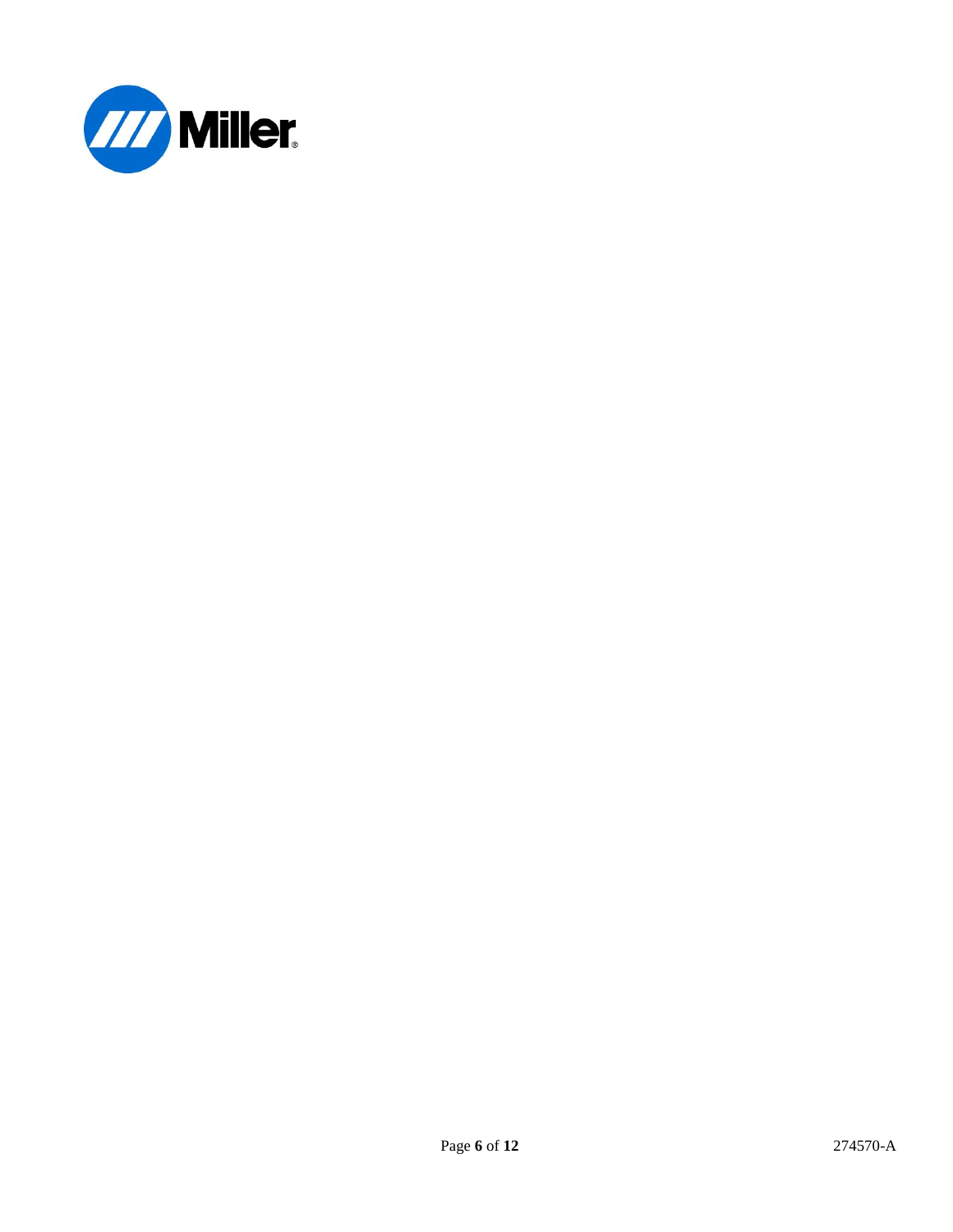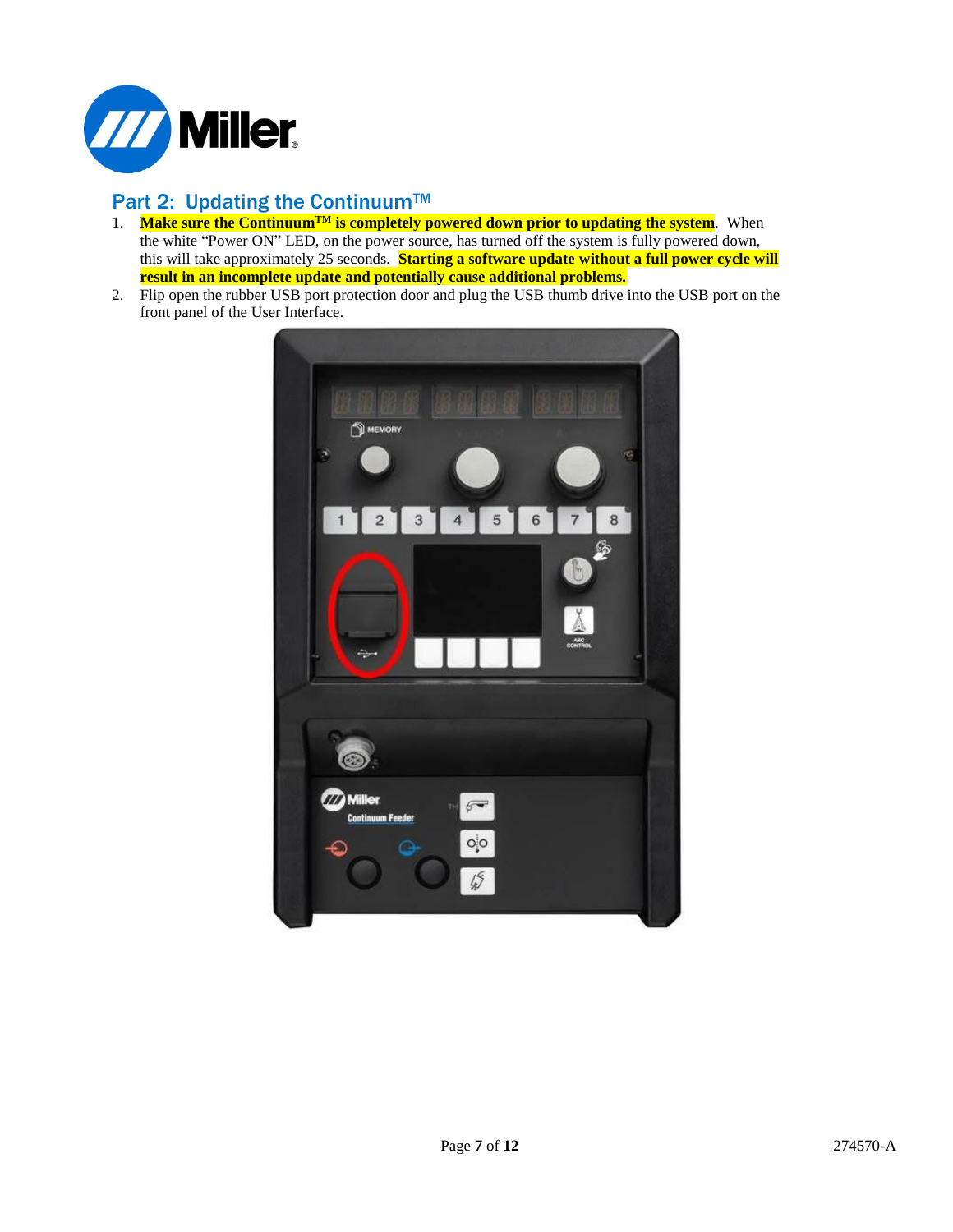

#### Part 2: Updating the Continuum™

- 1. **Make sure the ContinuumTM is completely powered down prior to updating the system**. When the white "Power ON" LED, on the power source, has turned off the system is fully powered down, this will take approximately 25 seconds. **Starting a software update without a full power cycle will result in an incomplete update and potentially cause additional problems.**
- 2. Flip open the rubber USB port protection door and plug the USB thumb drive into the USB port on the front panel of the User Interface.

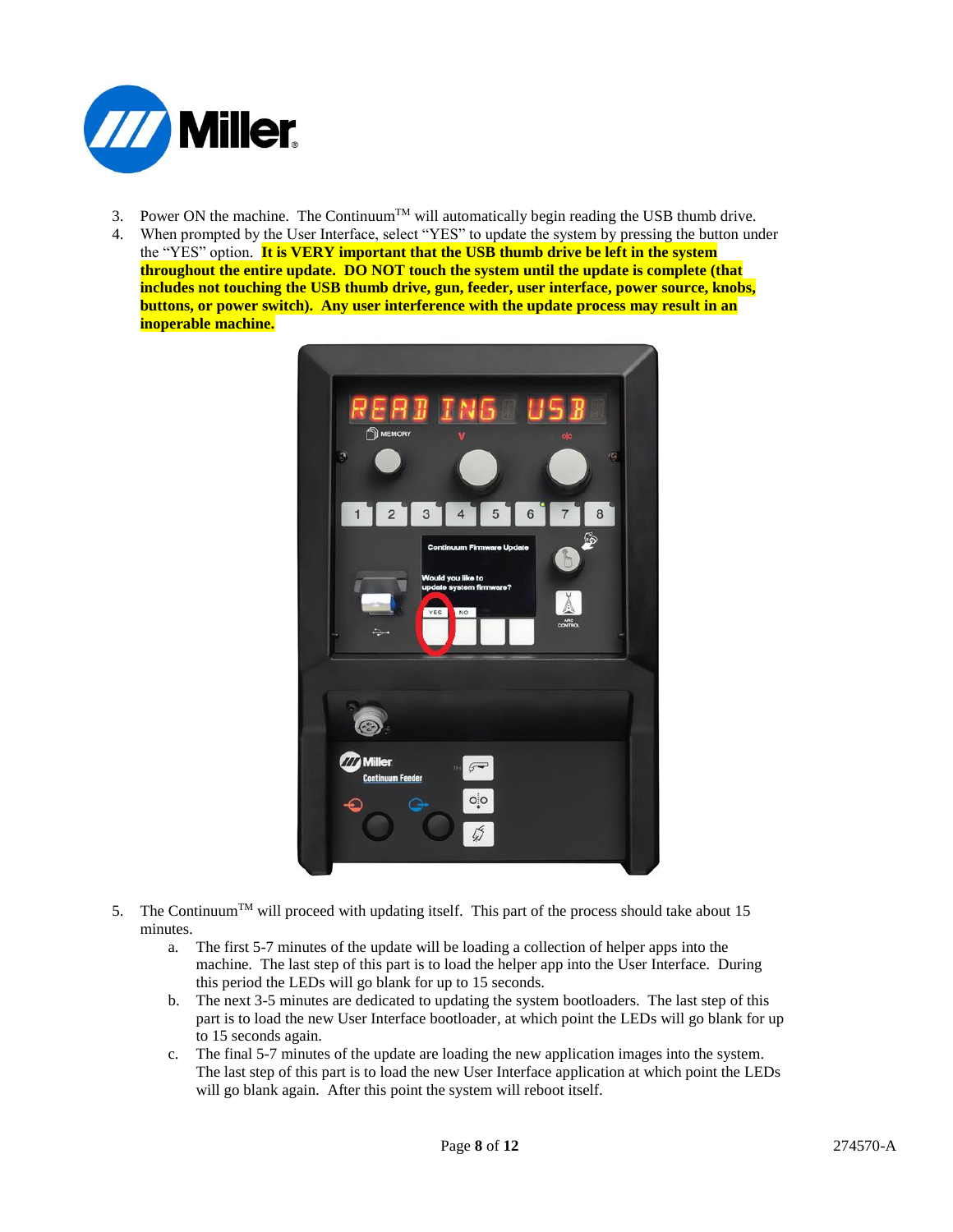

- 3. Power ON the machine. The Continuum<sup>TM</sup> will automatically begin reading the USB thumb drive.
- 4. When prompted by the User Interface, select "YES" to update the system by pressing the button under the "YES" option. **It is VERY important that the USB thumb drive be left in the system throughout the entire update. DO NOT touch the system until the update is complete (that includes not touching the USB thumb drive, gun, feeder, user interface, power source, knobs, buttons, or power switch). Any user interference with the update process may result in an inoperable machine.**



- 5. The Continuum<sup>TM</sup> will proceed with updating itself. This part of the process should take about 15 minutes.
	- a. The first 5-7 minutes of the update will be loading a collection of helper apps into the machine. The last step of this part is to load the helper app into the User Interface. During this period the LEDs will go blank for up to 15 seconds.
	- b. The next 3-5 minutes are dedicated to updating the system bootloaders. The last step of this part is to load the new User Interface bootloader, at which point the LEDs will go blank for up to 15 seconds again.
	- c. The final 5-7 minutes of the update are loading the new application images into the system. The last step of this part is to load the new User Interface application at which point the LEDs will go blank again. After this point the system will reboot itself.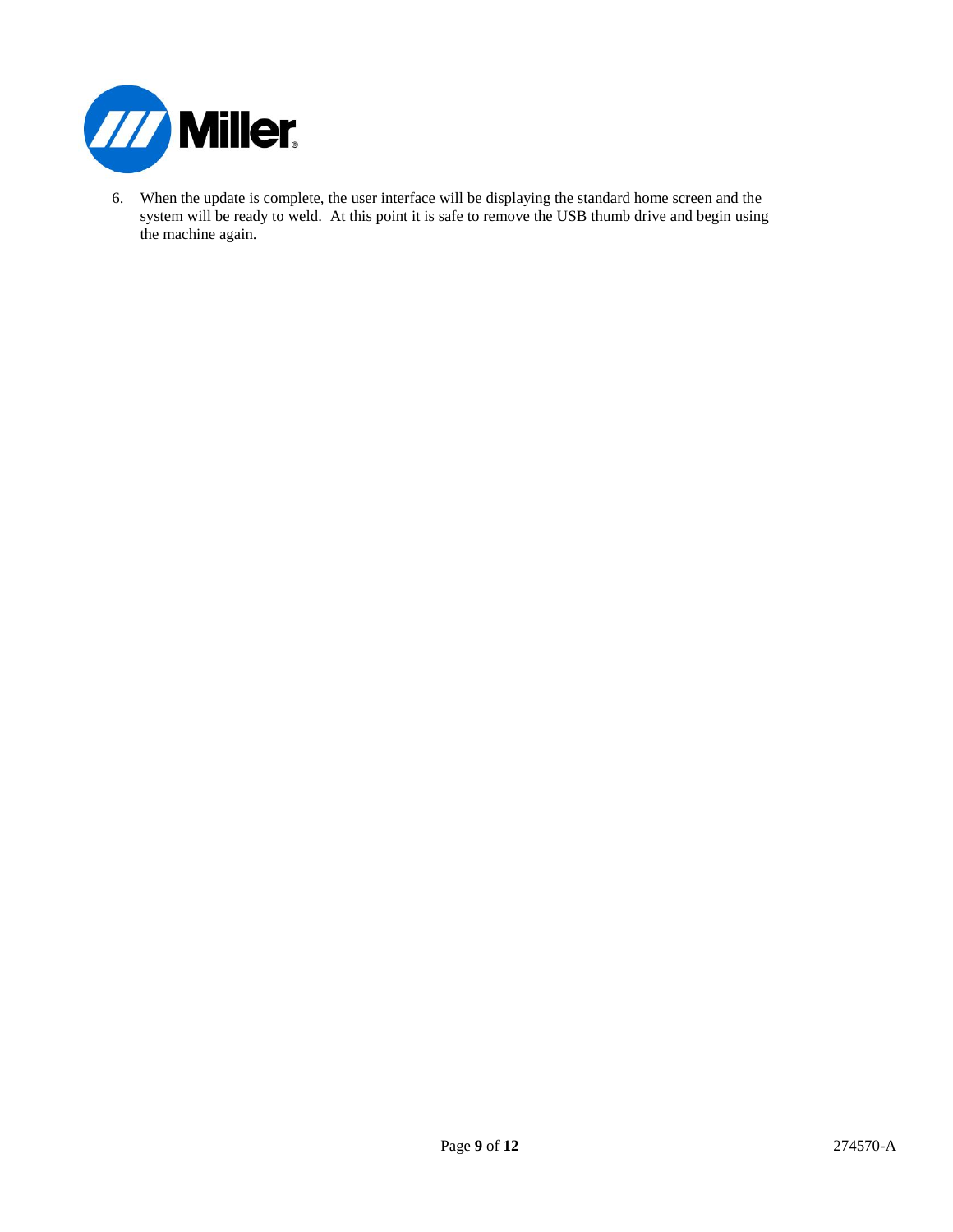

<span id="page-8-0"></span>6. When the update is complete, the user interface will be displaying the standard home screen and the system will be ready to weld. At this point it is safe to remove the USB thumb drive and begin using the machine again.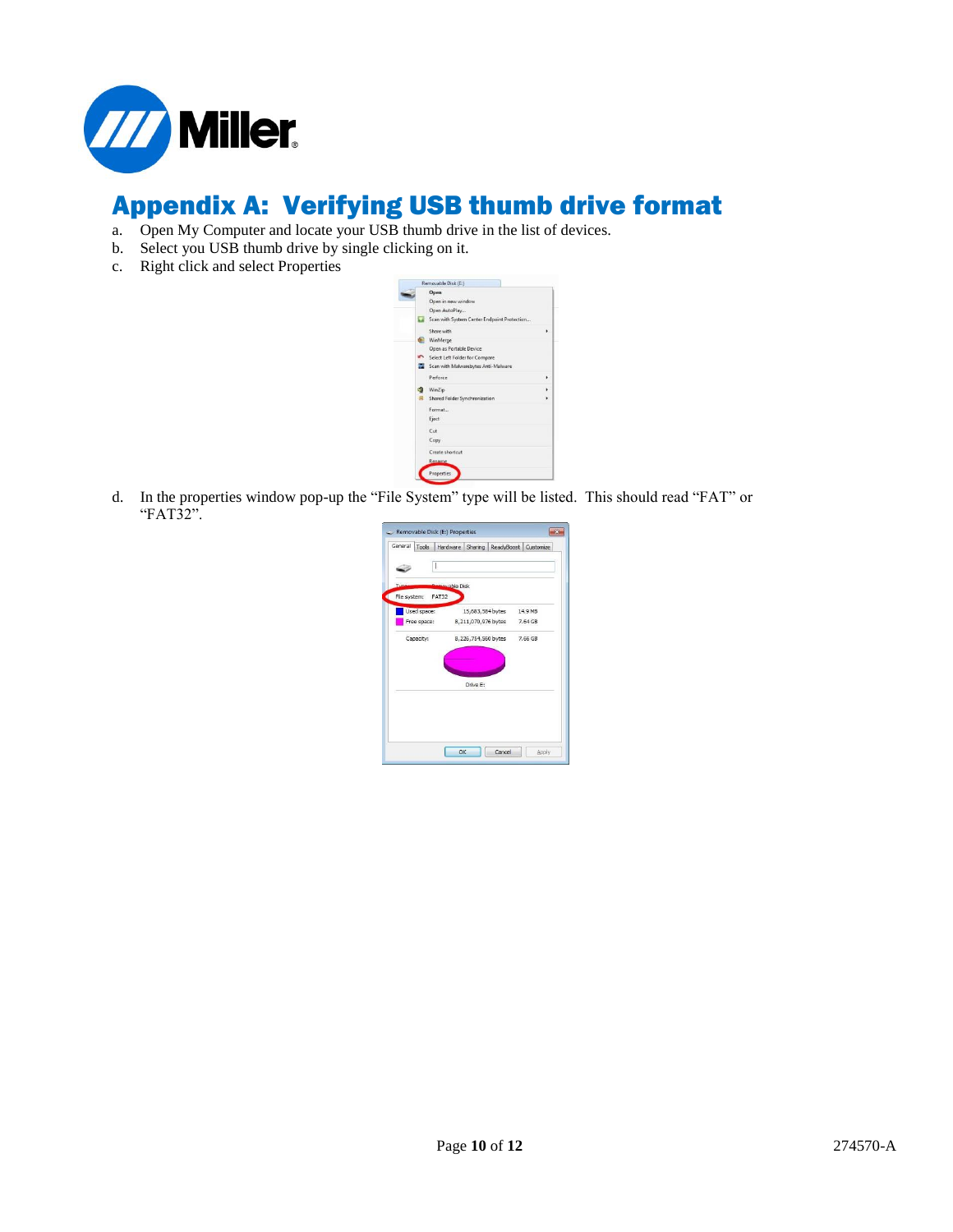

# Appendix A: Verifying USB thumb drive format

- a. Open My Computer and locate your USB thumb drive in the list of devices.
- b. Select you USB thumb drive by single clicking on it.
- c. Right click and select Properties

|   | Removable Disk (E:)                         |  |
|---|---------------------------------------------|--|
|   | Open                                        |  |
|   | Open in new window                          |  |
|   | Open AutoPlay                               |  |
|   | Scan with System Center Endpoint Protection |  |
|   | Share with                                  |  |
|   | WinMerge                                    |  |
|   | Open as Portable Device                     |  |
|   | Select Left Folder for Compare              |  |
|   | Scan with Malwarebytes Anti-Malware         |  |
|   | Perforce                                    |  |
| ٩ | WinZip                                      |  |
| 国 | Shared Folder Synchronization               |  |
|   | Format.                                     |  |
|   | Eject                                       |  |
|   | Cut                                         |  |
|   | Copy                                        |  |
|   | Create shortcut                             |  |
|   | Rename                                      |  |
|   | <b>Properties</b>                           |  |

d. In the properties window pop-up the "File System" type will be listed. This should read "FAT" or "FAT32".

| General<br>Tools            |                     |                  |                     | Hardware Sharing ReadyBoost Customize |
|-----------------------------|---------------------|------------------|---------------------|---------------------------------------|
| I                           |                     |                  |                     |                                       |
|                             | <b>Mavable Disk</b> |                  |                     |                                       |
| File system:<br>Used space: | <b>FAT32</b>        | 15,683,584 bytes |                     | 14.9 MB                               |
| Free space:                 |                     |                  | 8,211,070,976 bytes | 7.64 GB                               |
| Capacity:                   |                     |                  | 8,226,754,560 bytes | 7.66 GB                               |
|                             |                     | Drive E:         |                     |                                       |
|                             |                     |                  |                     |                                       |
|                             |                     |                  |                     |                                       |
|                             |                     |                  | Cancel              | Apply                                 |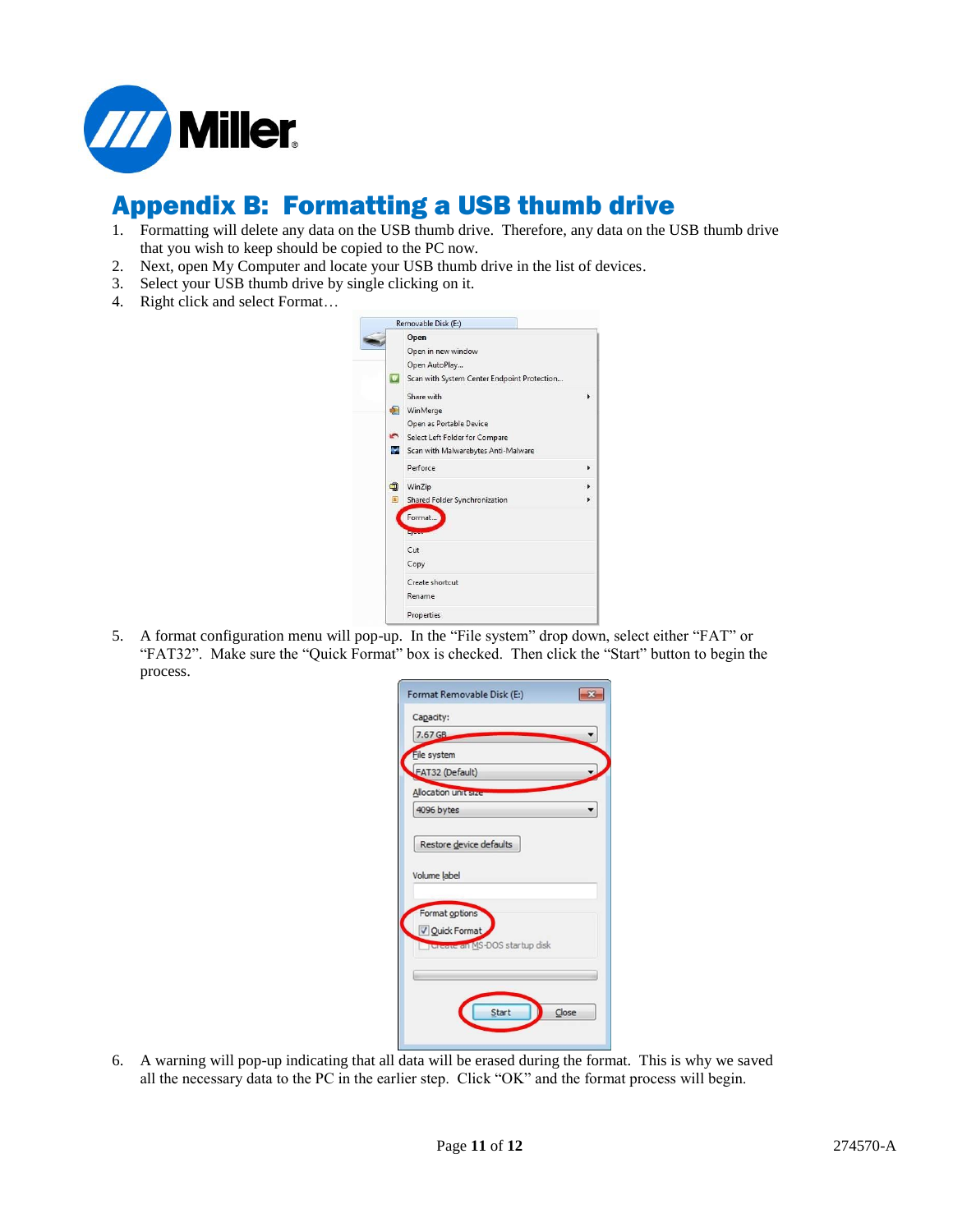

## <span id="page-10-0"></span>Appendix B: Formatting a USB thumb drive

- 1. Formatting will delete any data on the USB thumb drive. Therefore, any data on the USB thumb drive that you wish to keep should be copied to the PC now.
- 2. Next, open My Computer and locate your USB thumb drive in the list of devices.
- 3. Select your USB thumb drive by single clicking on it.
- 4. Right click and select Format…



5. A format configuration menu will pop-up. In the "File system" drop down, select either "FAT" or "FAT32". Make sure the "Quick Format" box is checked. Then click the "Start" button to begin the process.

| Format Removable Disk (E:) |                |                               |       |
|----------------------------|----------------|-------------------------------|-------|
| Capacity:                  |                |                               |       |
| 7.67 GB                    |                |                               |       |
| File system                |                |                               |       |
| FAT32 (Default)            |                |                               |       |
| Allocation unit size       |                |                               |       |
| 4096 bytes                 |                |                               |       |
| Volume label               |                |                               |       |
|                            | Format options |                               |       |
|                            | Ouick Format   | areate an MS-DOS startup disk |       |
|                            |                | Start                         | Close |

6. A warning will pop-up indicating that all data will be erased during the format. This is why we saved all the necessary data to the PC in the earlier step. Click "OK" and the format process will begin.